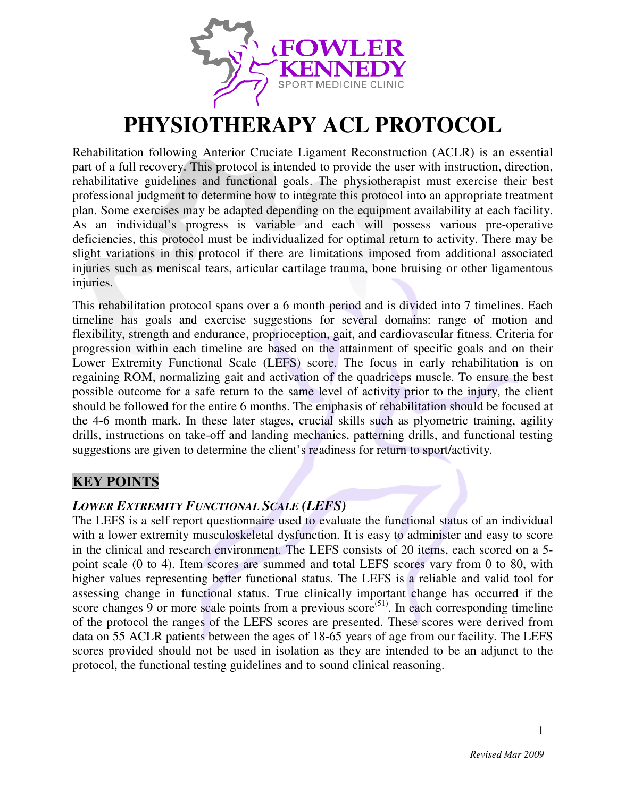

# **PHYSIOTHERAPY ACL PROTOCOL**

Rehabilitation following Anterior Cruciate Ligament Reconstruction (ACLR) is an essential part of a full recovery. This protocol is intended to provide the user with instruction, direction, rehabilitative guidelines and functional goals. The physiotherapist must exercise their best professional judgment to determine how to integrate this protocol into an appropriate treatment plan. Some exercises may be adapted depending on the equipment availability at each facility. As an individual's progress is variable and each will possess various pre-operative deficiencies, this protocol must be individualized for optimal return to activity. There may be slight variations in this protocol if there are limitations imposed from additional associated injuries such as meniscal tears, articular cartilage trauma, bone bruising or other ligamentous injuries.

This rehabilitation protocol spans over a 6 month period and is divided into 7 timelines. Each timeline has goals and exercise suggestions for several domains: range of motion and flexibility, strength and endurance, proprioception, gait, and cardiovascular fitness. Criteria for progression within each timeline are based on the attainment of specific goals and on their Lower Extremity Functional Scale (LEFS) score. The focus in early rehabilitation is on regaining ROM, normalizing gait and activation of the quadriceps muscle. To ensure the best possible outcome for a safe return to the same level of activity prior to the injury, the client should be followed for the entire 6 months. The emphasis of rehabilitation should be focused at the 4-6 month mark. In these later stages, crucial skills such as plyometric training, agility drills, instructions on take-off and landing mechanics, patterning drills, and functional testing suggestions are given to determine the client's readiness for return to sport/activity.

# **KEY POINTS**

#### *LOWER EXTREMITY FUNCTIONAL SCALE (LEFS)*

The LEFS is a self report questionnaire used to evaluate the functional status of an individual with a lower extremity musculoskeletal dysfunction. It is easy to administer and easy to score in the clinical and research environment. The LEFS consists of 20 items, each scored on a 5 point scale (0 to 4). Item scores are summed and total LEFS scores vary from 0 to 80, with higher values representing better functional status. The LEFS is a reliable and valid tool for assessing change in functional status. True clinically important change has occurred if the score changes 9 or more scale points from a previous score<sup> $(51)$ </sup>. In each corresponding timeline of the protocol the ranges of the LEFS scores are presented. These scores were derived from data on 55 ACLR patients between the ages of 18-65 years of age from our facility. The LEFS scores provided should not be used in isolation as they are intended to be an adjunct to the protocol, the functional testing guidelines and to sound clinical reasoning.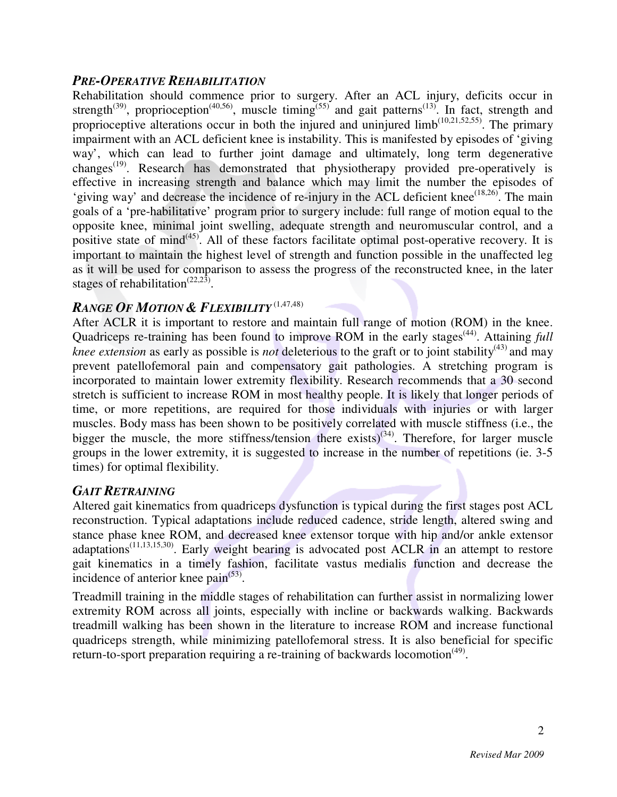#### *PRE-OPERATIVE REHABILITATION*

Rehabilitation should commence prior to surgery. After an ACL injury, deficits occur in strength<sup>(39)</sup>, proprioception<sup>(40,56)</sup>, muscle timing<sup>(55)</sup> and gait patterns<sup>(13)</sup>. In fact, strength and proprioceptive alterations occur in both the injured and uninjured  $limb^{(10,21,52,55)}$ . The primary impairment with an ACL deficient knee is instability. This is manifested by episodes of 'giving way', which can lead to further joint damage and ultimately, long term degenerative changes<sup> $(19)$ </sup>. Research has demonstrated that physiotherapy provided pre-operatively is effective in increasing strength and balance which may limit the number the episodes of 'giving way' and decrease the incidence of re-injury in the ACL deficient knee $(18,26)$ . The main goals of a 'pre-habilitative' program prior to surgery include: full range of motion equal to the opposite knee, minimal joint swelling, adequate strength and neuromuscular control, and a positive state of mind $(45)$ . All of these factors facilitate optimal post-operative recovery. It is important to maintain the highest level of strength and function possible in the unaffected leg as it will be used for comparison to assess the progress of the reconstructed knee, in the later stages of rehabilitation<sup> $(22,23)$ </sup>.

#### *RANGE OF MOTION & FLEXIBILITY* (1,47,48)

After ACLR it is important to restore and maintain full range of motion (ROM) in the knee. Quadriceps re-training has been found to improve ROM in the early stages<sup>(44)</sup>. Attaining *full knee extension* as early as possible is *not* deleterious to the graft or to joint stability<sup>(43)</sup> and may prevent patellofemoral pain and compensatory gait pathologies. A stretching program is incorporated to maintain lower extremity flexibility. Research recommends that a 30 second stretch is sufficient to increase ROM in most healthy people. It is likely that longer periods of time, or more repetitions, are required for those individuals with injuries or with larger muscles. Body mass has been shown to be positively correlated with muscle stiffness (i.e., the bigger the muscle, the more stiffness/tension there exists)<sup>(34)</sup>. Therefore, for larger muscle groups in the lower extremity, it is suggested to increase in the number of repetitions (ie. 3-5 times) for optimal flexibility.

#### *GAIT RETRAINING*

Altered gait kinematics from quadriceps dysfunction is typical during the first stages post ACL reconstruction. Typical adaptations include reduced cadence, stride length, altered swing and stance phase knee ROM, and decreased knee extensor torque with hip and/or ankle extensor adaptations<sup> $(11,13,15,30)$ </sup>. Early weight bearing is advocated post ACLR in an attempt to restore gait kinematics in a timely fashion, facilitate vastus medialis function and decrease the incidence of anterior knee  $\text{pain}^{(53)}$ .

Treadmill training in the middle stages of rehabilitation can further assist in normalizing lower extremity ROM across all joints, especially with incline or backwards walking. Backwards treadmill walking has been shown in the literature to increase ROM and increase functional quadriceps strength, while minimizing patellofemoral stress. It is also beneficial for specific return-to-sport preparation requiring a re-training of backwards locomotion<sup> $(49)$ </sup>.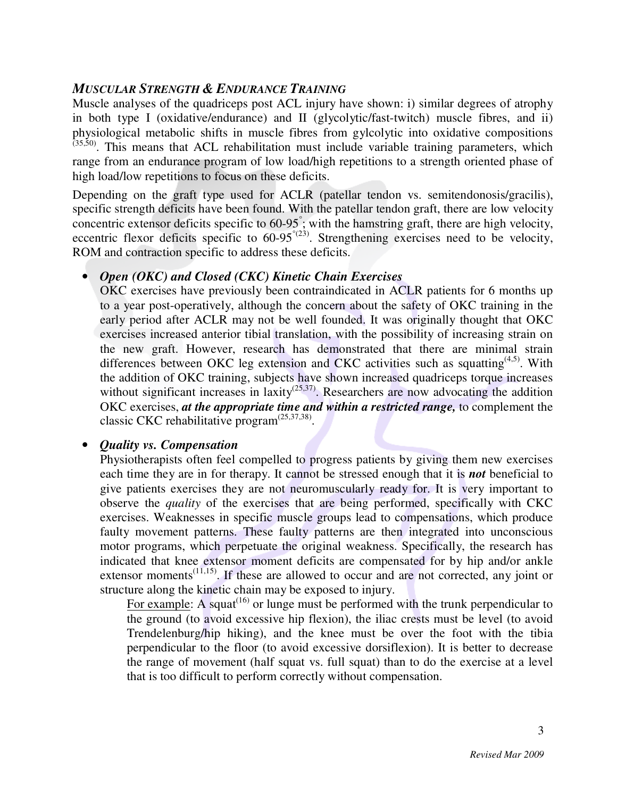#### *MUSCULAR STRENGTH & ENDURANCE TRAINING*

Muscle analyses of the quadriceps post ACL injury have shown: i) similar degrees of atrophy in both type I (oxidative/endurance) and II (glycolytic/fast-twitch) muscle fibres, and ii) physiological metabolic shifts in muscle fibres from gylcolytic into oxidative compositions  $(35,50)$ . This means that ACL rehabilitation must include variable training parameters, which range from an endurance program of low load/high repetitions to a strength oriented phase of high load/low repetitions to focus on these deficits.

Depending on the graft type used for ACLR (patellar tendon vs. semitendonosis/gracilis), specific strength deficits have been found. With the patellar tendon graft, there are low velocity concentric extensor deficits specific to 60-95° ; with the hamstring graft, there are high velocity, eccentric flexor deficits specific to  $60-95^{\degree(23)}$ . Strengthening exercises need to be velocity, ROM and contraction specific to address these deficits.

#### • *Open (OKC) and Closed (CKC) Kinetic Chain Exercises*

OKC exercises have previously been contraindicated in ACLR patients for 6 months up to a year post-operatively, although the concern about the safety of OKC training in the early period after ACLR may not be well founded. It was originally thought that OKC exercises increased anterior tibial translation, with the possibility of increasing strain on the new graft. However, research has demonstrated that there are minimal strain differences between OKC leg extension and CKC activities such as squatting<sup> $(4,5)$ </sup>. With the addition of OKC training, subjects have shown increased quadriceps torque increases without significant increases in laxity<sup> $(25,37)$ </sup>. Researchers are now advocating the addition OKC exercises, *at the appropriate time and within a restricted range,* to complement the classic CKC rehabilitative program<sup>(25,37,38)</sup>.

#### • *Quality vs. Compensation*

Physiotherapists often feel compelled to progress patients by giving them new exercises each time they are in for therapy. It cannot be stressed enough that it is *not* beneficial to give patients exercises they are not neuromuscularly ready for. It is very important to observe the *quality* of the exercises that are being performed, specifically with CKC exercises. Weaknesses in specific muscle groups lead to compensations, which produce faulty movement patterns. These faulty patterns are then integrated into unconscious motor programs, which perpetuate the original weakness. Specifically, the research has indicated that knee extensor moment deficits are compensated for by hip and/or ankle extensor moments<sup> $(11,15)$ </sup>. If these are allowed to occur and are not corrected, any joint or structure along the kinetic chain may be exposed to injury.

For example: A squat<sup> $(16)$ </sup> or lunge must be performed with the trunk perpendicular to the ground (to avoid excessive hip flexion), the iliac crests must be level (to avoid Trendelenburg/hip hiking), and the knee must be over the foot with the tibia perpendicular to the floor (to avoid excessive dorsiflexion). It is better to decrease the range of movement (half squat vs. full squat) than to do the exercise at a level that is too difficult to perform correctly without compensation.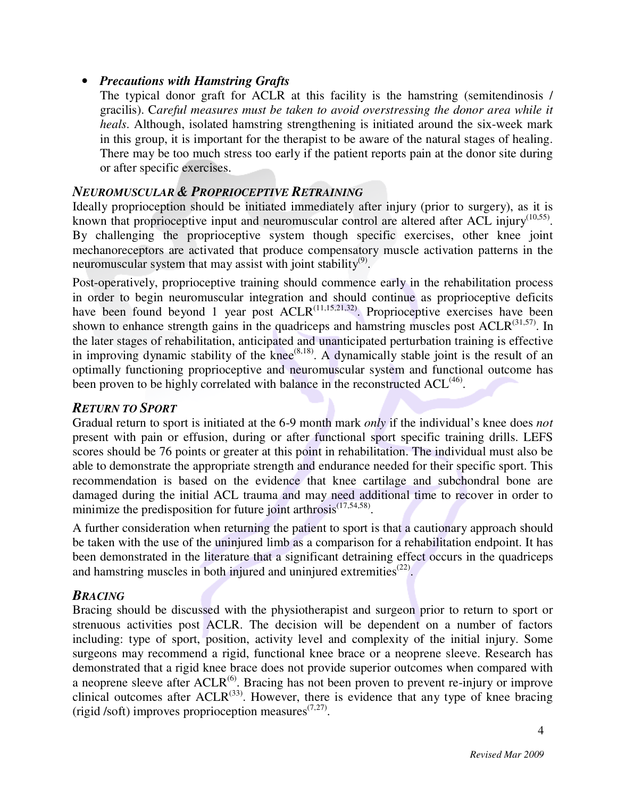### • *Precautions with Hamstring Grafts*

The typical donor graft for ACLR at this facility is the hamstring (semitendinosis / gracilis). C*areful measures must be taken to avoid overstressing the donor area while it heals*. Although, isolated hamstring strengthening is initiated around the six-week mark in this group, it is important for the therapist to be aware of the natural stages of healing. There may be too much stress too early if the patient reports pain at the donor site during or after specific exercises.

#### *NEUROMUSCULAR & PROPRIOCEPTIVE RETRAINING*

Ideally proprioception should be initiated immediately after injury (prior to surgery), as it is known that proprioceptive input and neuromuscular control are altered after ACL injury<sup> $(10,55)$ </sup>. By challenging the proprioceptive system though specific exercises, other knee joint mechanoreceptors are activated that produce compensatory muscle activation patterns in the neuromuscular system that may assist with joint stability $^{(9)}$ .

Post-operatively, proprioceptive training should commence early in the rehabilitation process in order to begin neuromuscular integration and should continue as proprioceptive deficits have been found beyond 1 year post  $\text{ACLR}^{(11,15,21,32)}$ . Proprioceptive exercises have been shown to enhance strength gains in the quadriceps and hamstring muscles post  $\text{ACLR}^{(31,57)}$ . In the later stages of rehabilitation, anticipated and unanticipated perturbation training is effective in improving dynamic stability of the knee<sup> $(8,18)$ </sup>. A dynamically stable joint is the result of an optimally functioning proprioceptive and neuromuscular system and functional outcome has been proven to be highly correlated with balance in the reconstructed  $ACL^{(46)}$ .

#### *RETURN TO SPORT*

Gradual return to sport is initiated at the 6-9 month mark *only* if the individual's knee does *not* present with pain or effusion, during or after functional sport specific training drills. LEFS scores should be 76 points or greater at this point in rehabilitation. The individual must also be able to demonstrate the appropriate strength and endurance needed for their specific sport. This recommendation is based on the evidence that knee cartilage and subchondral bone are damaged during the initial ACL trauma and may need additional time to recover in order to minimize the predisposition for future joint arthrosis $(17,54,58)$ .

A further consideration when returning the patient to sport is that a cautionary approach should be taken with the use of the uninjured limb as a comparison for a rehabilitation endpoint. It has been demonstrated in the literature that a significant detraining effect occurs in the quadriceps and hamstring muscles in both injured and uninjured extremities $(22)$ .

#### *BRACING*

Bracing should be discussed with the physiotherapist and surgeon prior to return to sport or strenuous activities post ACLR. The decision will be dependent on a number of factors including: type of sport, position, activity level and complexity of the initial injury. Some surgeons may recommend a rigid, functional knee brace or a neoprene sleeve. Research has demonstrated that a rigid knee brace does not provide superior outcomes when compared with a neoprene sleeve after  $\text{ACLR}^{(6)}$ . Bracing has not been proven to prevent re-injury or improve clinical outcomes after  $ACLR^{(33)}$ . However, there is evidence that any type of knee bracing (rigid /soft) improves proprioception measures $(7.27)$ .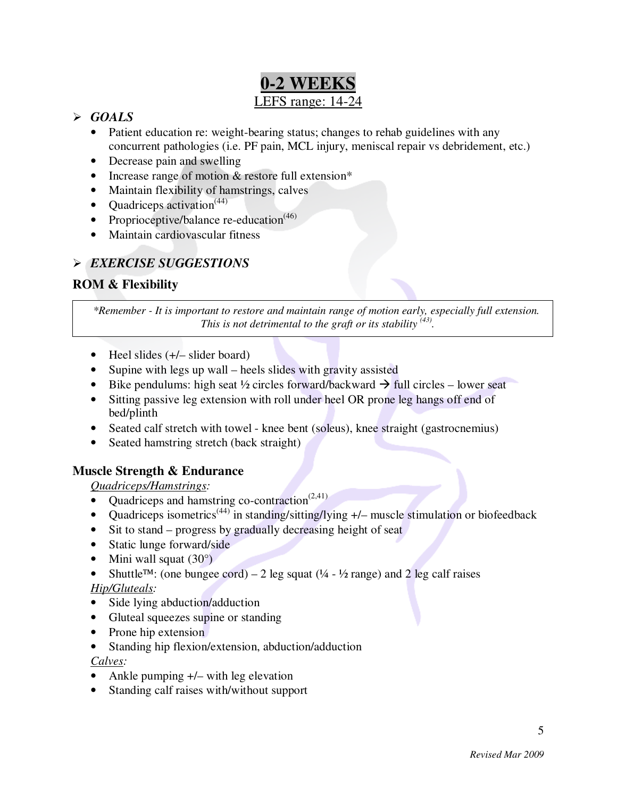# **0-2 WEEKS** LEFS range: 14-24

### *GOALS*

- Patient education re: weight-bearing status; changes to rehab guidelines with any concurrent pathologies (i.e. PF pain, MCL injury, meniscal repair vs debridement, etc.)
- Decrease pain and swelling
- Increase range of motion & restore full extension\*
- Maintain flexibility of hamstrings, calves
- Quadriceps activation $(44)$
- Proprioceptive/balance re-education<sup> $(46)$ </sup>
- Maintain cardiovascular fitness

#### *EXERCISE SUGGESTIONS*

#### **ROM & Flexibility**

*\*Remember - It is important to restore and maintain range of motion early, especially full extension. This is not detrimental to the graft or its stability* <sup>(43)</sup>.

- Heel slides (+/– slider board)
- Supine with legs up wall heels slides with gravity assisted
- Bike pendulums: high seat  $\frac{1}{2}$  circles forward/backward  $\rightarrow$  full circles lower seat
- Sitting passive leg extension with roll under heel OR prone leg hangs off end of bed/plinth
- Seated calf stretch with towel knee bent (soleus), knee straight (gastrocnemius)
- Seated hamstring stretch (back straight)

#### **Muscle Strength & Endurance**

#### *Quadriceps/Hamstrings:*

- Quadriceps and hamstring co-contraction $(2,41)$
- Quadriceps isometrics<sup>(44)</sup> in standing/sitting/lying  $+/-$  muscle stimulation or biofeedback
- Sit to stand progress by gradually decreasing height of seat
- Static lunge forward/side
- Mini wall squat  $(30^{\circ})$
- Shuttle<sup>TM</sup>: (one bungee cord) 2 leg squat  $(1/4 1/2)$  range) and 2 leg calf raises *Hip/Gluteals:*
- Side lying abduction/adduction
- Gluteal squeezes supine or standing
- Prone hip extension
- Standing hip flexion/extension, abduction/adduction

#### *Calves:*

- Ankle pumping  $+/-$  with leg elevation
- Standing calf raises with/without support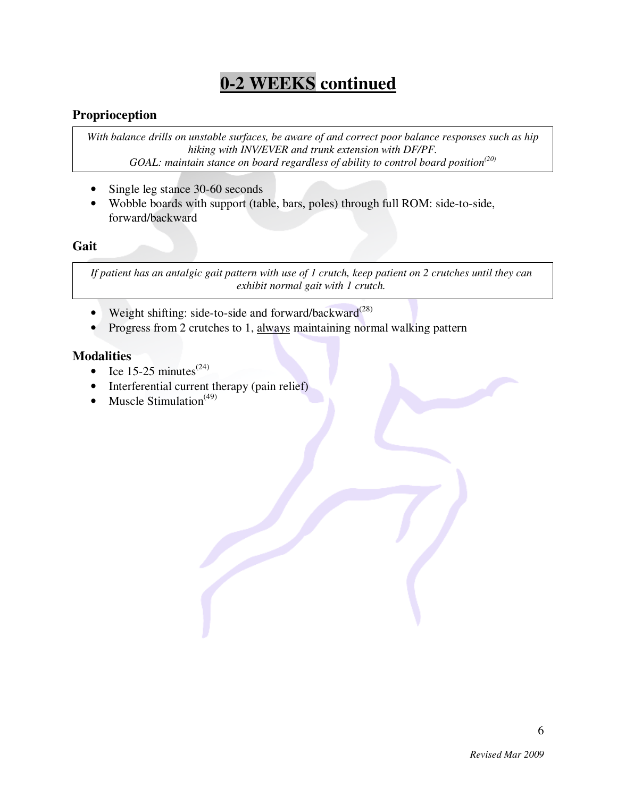# **0-2 WEEKS continued**

#### **Proprioception**

*With balance drills on unstable surfaces, be aware of and correct poor balance responses such as hip hiking with INV/EVER and trunk extension with DF/PF. GOAL: maintain stance on board regardless of ability to control board position (20)*

- Single leg stance 30-60 seconds
- Wobble boards with support (table, bars, poles) through full ROM: side-to-side, forward/backward

#### **Gait**

*If patient has an antalgic gait pattern with use of 1 crutch, keep patient on 2 crutches until they can exhibit normal gait with 1 crutch.*

- Weight shifting: side-to-side and forward/backward<sup>(28)</sup>
- Progress from 2 crutches to 1, always maintaining normal walking pattern

#### **Modalities**

- Ice 15-25 minutes $^{(24)}$
- Interferential current therapy (pain relief)
- Muscle Stimulation<sup>(49)</sup>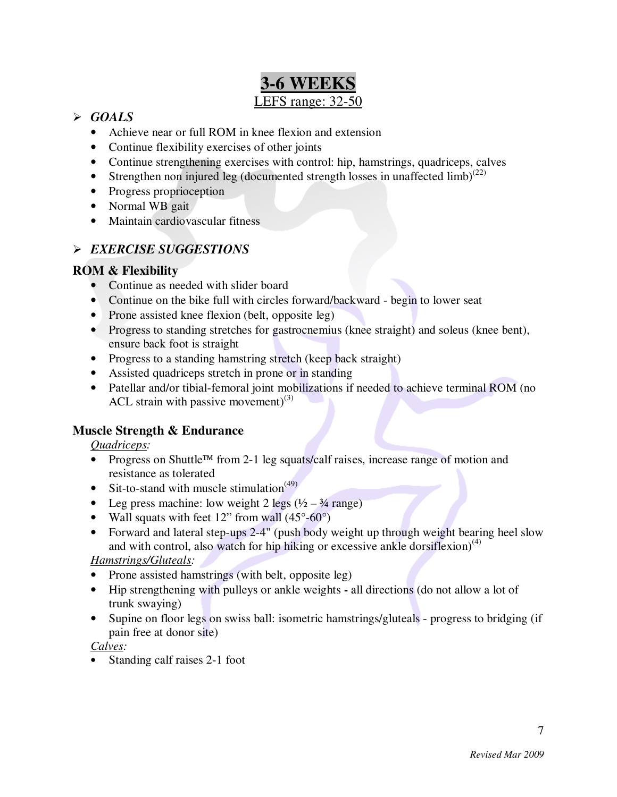# **3-6 WEEKS** LEFS range: 32-50

# *GOALS*

- Achieve near or full ROM in knee flexion and extension
- Continue flexibility exercises of other joints
- Continue strengthening exercises with control: hip, hamstrings, quadriceps, calves
- Strengthen non injured leg (documented strength losses in unaffected limb) $^{(22)}$
- Progress proprioception
- Normal WB gait
- Maintain cardiovascular fitness

# *EXERCISE SUGGESTIONS*

# **ROM & Flexibility**

- Continue as needed with slider board
- Continue on the bike full with circles forward/backward begin to lower seat
- Prone assisted knee flexion (belt, opposite leg)
- Progress to standing stretches for gastrocnemius (knee straight) and soleus (knee bent), ensure back foot is straight
- Progress to a standing hamstring stretch (keep back straight)
- Assisted quadriceps stretch in prone or in standing
- Patellar and/or tibial-femoral joint mobilizations if needed to achieve terminal ROM (no ACL strain with passive movement) $^{(3)}$

# **Muscle Strength & Endurance**

*Quadriceps:* 

- Progress on Shuttle<sup>TM</sup> from 2-1 leg squats/calf raises, increase range of motion and resistance as tolerated
- Sit-to-stand with muscle stimulation $(49)$
- Leg press machine: low weight 2 legs  $(1/2 3/4$  range)
- Wall squats with feet 12" from wall  $(45^{\circ} 60^{\circ})$
- Forward and lateral step-ups 2-4" (push body weight up through weight bearing heel slow and with control, also watch for hip hiking or excessive ankle dorsiflexion) $(4)$

# *Hamstrings/Gluteals:*

- Prone assisted hamstrings (with belt, opposite leg)
- Hip strengthening with pulleys or ankle weightsall directions (do not allow a lot of trunk swaying)
- Supine on floor legs on swiss ball: isometric hamstrings/gluteals progress to bridging (if pain free at donor site)

#### *Calves:*

• Standing calf raises 2-1 foot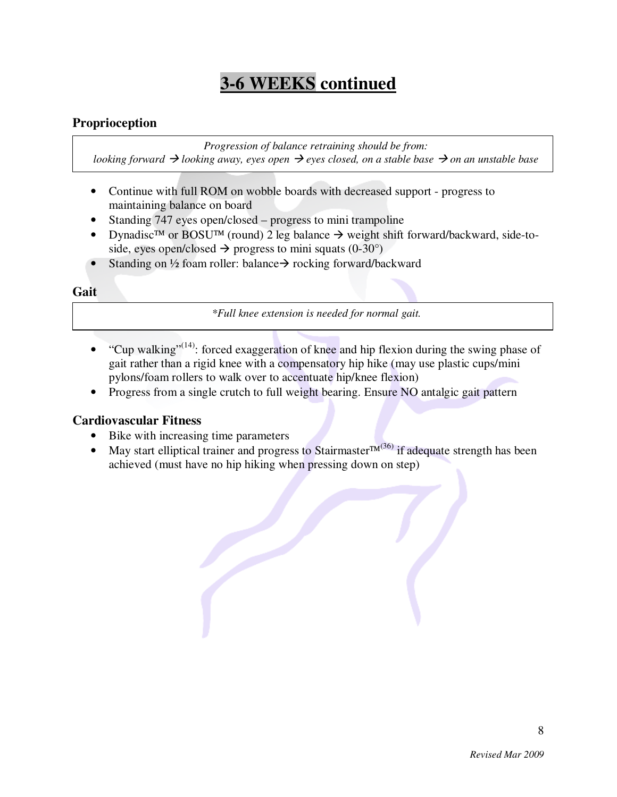# **3-6 WEEKS continued**

#### **Proprioception**

*Progression of balance retraining should be from: looking forward → looking away, eyes open → eyes closed, on a stable base → on an unstable base* 

- Continue with full ROM on wobble boards with decreased support progress to maintaining balance on board
- Standing 747 eyes open/closed progress to mini trampoline
- Dynadisc<sup>TM</sup> or BOSU<sup>TM</sup> (round) 2 leg balance  $\rightarrow$  weight shift forward/backward, side-toside, eyes open/closed  $\rightarrow$  progress to mini squats (0-30°)
- Standing on  $\frac{1}{2}$  foam roller: balance  $\rightarrow$  rocking forward/backward

#### **Gait**

*\*Full knee extension is needed for normal gait.* 

- "Cup walking"<sup>(14)</sup>: forced exaggeration of knee and hip flexion during the swing phase of gait rather than a rigid knee with a compensatory hip hike (may use plastic cups/mini pylons/foam rollers to walk over to accentuate hip/knee flexion)
- Progress from a single crutch to full weight bearing. Ensure NO antalgic gait pattern

#### **Cardiovascular Fitness**

- Bike with increasing time parameters
- May start elliptical trainer and progress to Stairmaster $TM^{(36)}$  if adequate strength has been achieved (must have no hip hiking when pressing down on step)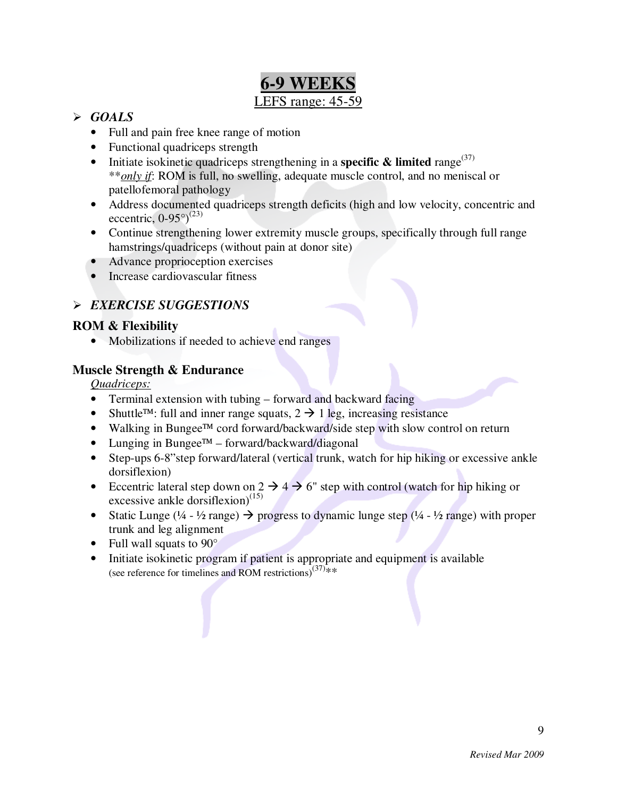# **6-9 WEEKS**  LEFS range: 45-59

### *GOALS*

- Full and pain free knee range of motion
- Functional quadriceps strength
- Initiate isokinetic quadriceps strengthening in a **specific & limited** range<sup>(37)</sup> \*\**only if*: ROM is full, no swelling, adequate muscle control, and no meniscal or patellofemoral pathology
- Address documented quadriceps strength deficits (high and low velocity, concentric and eccentric,  $0-95^{\circ}$ <sup>(23)</sup>
- Continue strengthening lower extremity muscle groups, specifically through full range hamstrings/quadriceps (without pain at donor site)
- Advance proprioception exercises
- Increase cardiovascular fitness

# *EXERCISE SUGGESTIONS*

#### **ROM & Flexibility**

• Mobilizations if needed to achieve end ranges

#### **Muscle Strength & Endurance**

#### *Quadriceps:*

- Terminal extension with tubing forward and backward facing
- Shuttle<sup>TM</sup>: full and inner range squats,  $2 \rightarrow 1$  leg, increasing resistance
- Walking in Bungee<sup>TM</sup> cord forward/backward/side step with slow control on return
- Lunging in Bungee<sup> $TM$ </sup> forward/backward/diagonal
- Step-ups 6-8" step forward/lateral (vertical trunk, watch for hip hiking or excessive ankle dorsiflexion)
- Eccentric lateral step down on  $2 \rightarrow 4 \rightarrow 6$ " step with control (watch for hip hiking or excessive ankle dorsiflexion) $(15)$
- Static Lunge ( $\frac{1}{4}$   $\frac{1}{2}$  range)  $\rightarrow$  progress to dynamic lunge step ( $\frac{1}{4}$   $\frac{1}{2}$  range) with proper trunk and leg alignment
- Full wall squats to  $90^\circ$
- Initiate isokinetic program if patient is appropriate and equipment is available (see reference for timelines and ROM restrictions)<sup>(37)\*\*</sup>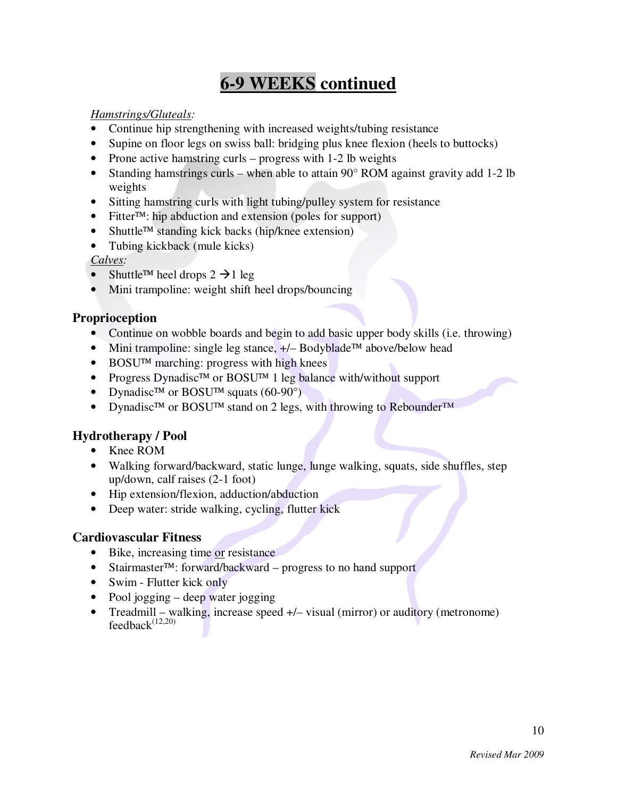# **6-9 WEEKS continued**

#### *Hamstrings/Gluteals:*

- Continue hip strengthening with increased weights/tubing resistance
- Supine on floor legs on swiss ball: bridging plus knee flexion (heels to buttocks)
- Prone active hamstring curls progress with 1-2 lb weights
- Standing hamstrings curls when able to attain 90° ROM against gravity add 1-2 lb weights
- Sitting hamstring curls with light tubing/pulley system for resistance
- Fitter<sup> $TM$ </sup>: hip abduction and extension (poles for support)
- Shuttle<sup>TM</sup> standing kick backs (hip/knee extension)
- Tubing kickback (mule kicks)

*Calves:* 

- Shuttle<sup>TM</sup> heel drops  $2 \rightarrow 1$  leg
- Mini trampoline: weight shift heel drops/bouncing

#### **Proprioception**

- Continue on wobble boards and begin to add basic upper body skills (i.e. throwing)
- Mini trampoline: single leg stance,  $+/-$  Bodyblade<sup>TM</sup> above/below head
- BOSU<sup>TM</sup> marching: progress with high knees
- Progress Dynadisc<sup>TM</sup> or BOSU<sup>TM</sup> 1 leg balance with/without support
- Dynadisc<sup>TM</sup> or BOSU<sup>TM</sup> squats (60-90°)
- Dynadisc<sup>™</sup> or BOSU<sup>™</sup> stand on 2 legs, with throwing to Rebounder<sup>™</sup>

# **Hydrotherapy / Pool**

- Knee ROM
- Walking forward/backward, static lunge, lunge walking, squats, side shuffles, step up/down, calf raises (2-1 foot)
- Hip extension/flexion, adduction/abduction
- Deep water: stride walking, cycling, flutter kick

#### **Cardiovascular Fitness**

- Bike, increasing time or resistance
- Stairmaster<sup>TM</sup>: forward/backward progress to no hand support
- Swim Flutter kick only
- Pool jogging deep water jogging
- Treadmill walking, increase speed  $+/-$  visual (mirror) or auditory (metronome) feedback $(12,20)$

10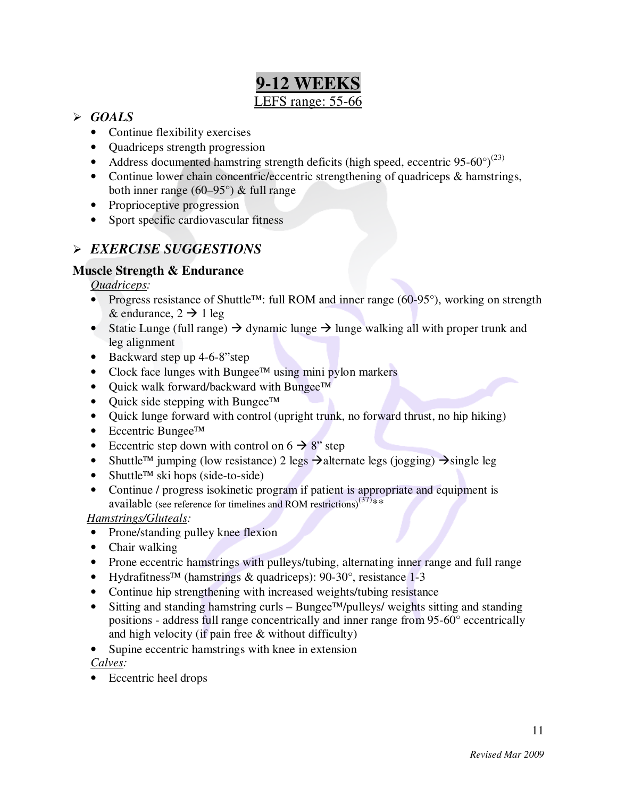# **9-12 WEEKS**  LEFS range: 55-66

# *GOALS*

- Continue flexibility exercises
- Ouadriceps strength progression
- Address documented hamstring strength deficits (high speed, eccentric  $95-60^{\circ}$ )<sup>(23)</sup>
- Continue lower chain concentric/eccentric strengthening of quadriceps & hamstrings, both inner range (60–95°) & full range
- Proprioceptive progression
- Sport specific cardiovascular fitness

# *EXERCISE SUGGESTIONS*

# **Muscle Strength & Endurance**

*Quadriceps:* 

- Progress resistance of Shuttle<sup>TM</sup>: full ROM and inner range (60-95°), working on strength & endurance,  $2 \rightarrow 1$  leg
- Static Lunge (full range)  $\rightarrow$  dynamic lunge  $\rightarrow$  lunge walking all with proper trunk and leg alignment
- Backward step up 4-6-8" step
- Clock face lunges with Bungee<sup> $TM$ </sup> using mini pylon markers
- Quick walk forward/backward with Bungee<sup>TM</sup>
- Ouick side stepping with Bungee<sup> $TM$ </sup>
- Quick lunge forward with control (upright trunk, no forward thrust, no hip hiking)
- $\bullet$  Eccentric Bungee<sup>TM</sup>
- Eccentric step down with control on  $6 \rightarrow 8$ " step
- Shuttle<sup>TM</sup> jumping (low resistance) 2 legs  $\rightarrow$  alternate legs (jogging)  $\rightarrow$  single leg
- Shuttle<sup> $TM$ </sup> ski hops (side-to-side)
- Continue / progress isokinetic program if patient is appropriate and equipment is available (see reference for timelines and ROM restrictions)<sup>(37)</sup>\*\*

#### *Hamstrings/Gluteals:*

- Prone/standing pulley knee flexion
- Chair walking
- Prone eccentric hamstrings with pulleys/tubing, alternating inner range and full range
- Hydrafitness<sup>TM</sup> (hamstrings  $\&$  quadriceps): 90-30°, resistance 1-3
- Continue hip strengthening with increased weights/tubing resistance
- Sitting and standing hamstring curls Bungee<sup>TM</sup>/pulleys/ weights sitting and standing positions - address full range concentrically and inner range from 95-60° eccentrically and high velocity (if pain free & without difficulty)
- Supine eccentric hamstrings with knee in extension

*Calves:* 

• Eccentric heel drops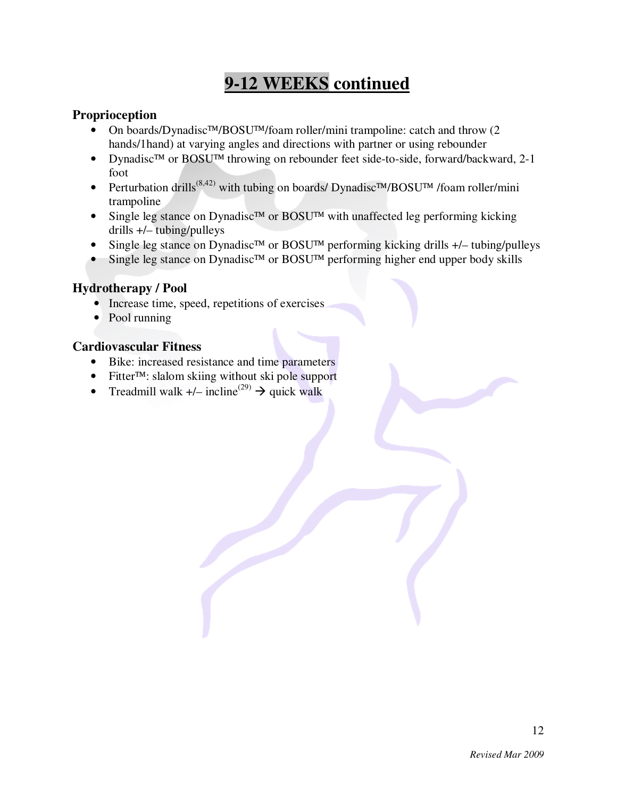# **9-12 WEEKS continued**

#### **Proprioception**

- On boards/Dynadisc<sup>TM</sup>/BOSU<sup>TM</sup>/foam roller/mini trampoline: catch and throw (2) hands/1hand) at varying angles and directions with partner or using rebounder
- Dynadisc<sup>TM</sup> or BOSU<sup>TM</sup> throwing on rebounder feet side-to-side, forward/backward, 2-1 foot
- Perturbation drills<sup>(8,42)</sup> with tubing on boards/ Dynadisc<sup>TM</sup>/BOSU<sup>TM</sup> /foam roller/mini trampoline
- Single leg stance on Dynadisc<sup>TM</sup> or BOSU<sup>TM</sup> with unaffected leg performing kicking drills +/– tubing/pulleys
- Single leg stance on Dynadisc<sup>TM</sup> or BOSU<sup>TM</sup> performing kicking drills  $+/-$  tubing/pulleys
- Single leg stance on Dynadisc<sup>TM</sup> or BOSU<sup>TM</sup> performing higher end upper body skills

# **Hydrotherapy / Pool**

- Increase time, speed, repetitions of exercises
- Pool running

# **Cardiovascular Fitness**

- Bike: increased resistance and time parameters
- Fitter<sup>TM</sup>: slalom skiing without ski pole support
- Treadmill walk  $+/-$  incline<sup>(29)</sup>  $\rightarrow$  quick walk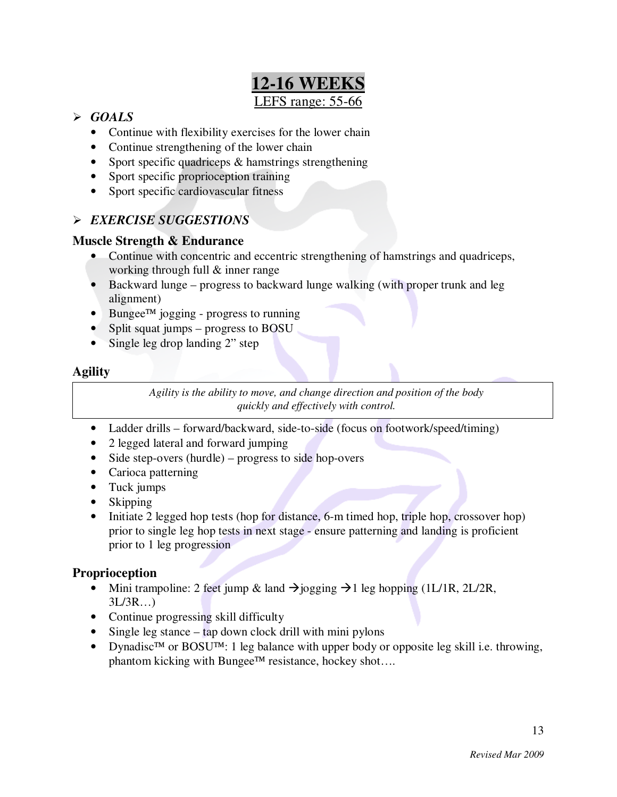# **12-16 WEEKS**  LEFS range: 55-66

### *GOALS*

- Continue with flexibility exercises for the lower chain
- Continue strengthening of the lower chain
- Sport specific quadriceps & hamstrings strengthening
- Sport specific proprioception training
- Sport specific cardiovascular fitness

# *EXERCISE SUGGESTIONS*

#### **Muscle Strength & Endurance**

- Continue with concentric and eccentric strengthening of hamstrings and quadriceps, working through full & inner range
- Backward lunge progress to backward lunge walking (with proper trunk and leg alignment)
- Bungee<sup> $TM$ </sup> jogging progress to running
- Split squat jumps progress to BOSU
- Single leg drop landing 2" step

#### **Agility**

*Agility is the ability to move, and change direction and position of the body quickly and effectively with control.*

- Ladder drills forward/backward, side-to-side (focus on footwork/speed/timing)
- 2 legged lateral and forward jumping
- Side step-overs (hurdle) progress to side hop-overs
- Carioca patterning
- Tuck jumps
- Skipping
- Initiate 2 legged hop tests (hop for distance, 6-m timed hop, triple hop, crossover hop) prior to single leg hop tests in next stage - ensure patterning and landing is proficient prior to 1 leg progression

#### **Proprioception**

- Mini trampoline: 2 feet jump & land  $\rightarrow$  jogging  $\rightarrow$  1 leg hopping (1L/1R, 2L/2R, 3L/3R…)
- Continue progressing skill difficulty
- Single leg stance tap down clock drill with mini pylons
- Dynadisc<sup>TM</sup> or BOSU<sup>TM</sup>: 1 leg balance with upper body or opposite leg skill i.e. throwing, phantom kicking with Bungee<sup> $TM$ </sup> resistance, hockey shot....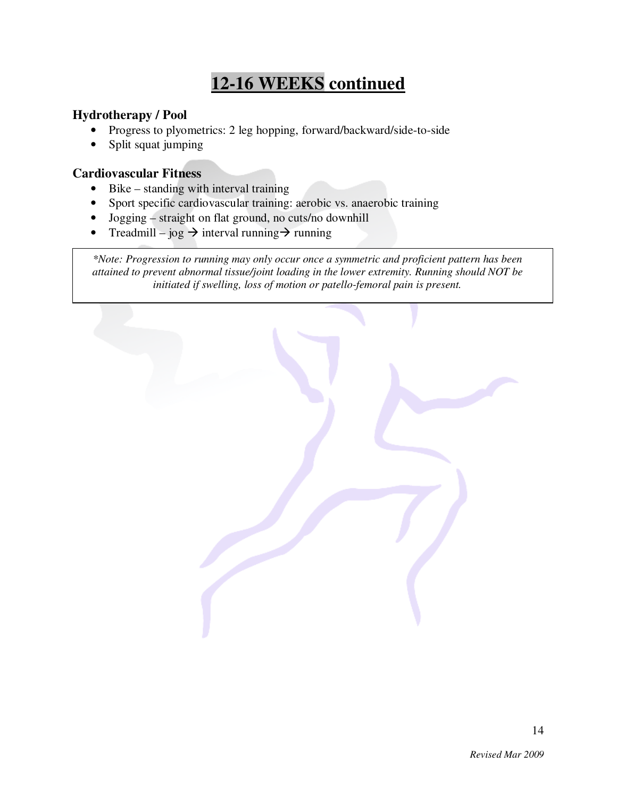# **12-16 WEEKS continued**

#### **Hydrotherapy / Pool**

- Progress to plyometrics: 2 leg hopping, forward/backward/side-to-side
- Split squat jumping

#### **Cardiovascular Fitness**

- Bike standing with interval training
- Sport specific cardiovascular training: aerobic vs. anaerobic training
- Jogging straight on flat ground, no cuts/no downhill
- Treadmill jog  $\rightarrow$  interval running  $\rightarrow$  running

*\*Note: Progression to running may only occur once a symmetric and proficient pattern has been attained to prevent abnormal tissue/joint loading in the lower extremity. Running should NOT be initiated if swelling, loss of motion or patello-femoral pain is present.*

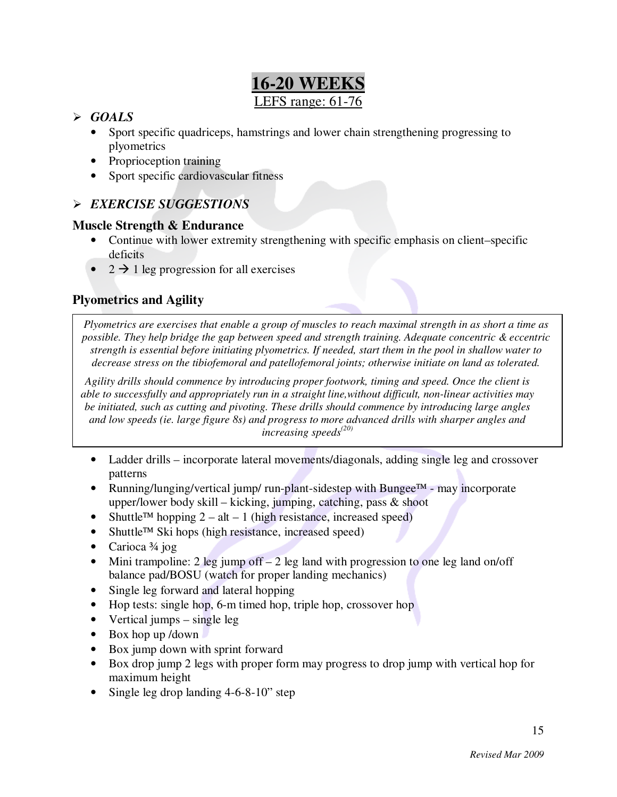# **16-20 WEEKS** LEFS range: 61-76

### *GOALS*

- Sport specific quadriceps, hamstrings and lower chain strengthening progressing to plyometrics
- Proprioception training
- Sport specific cardiovascular fitness

# *EXERCISE SUGGESTIONS*

#### **Muscle Strength & Endurance**

- Continue with lower extremity strengthening with specific emphasis on client–specific deficits
- $2 \rightarrow 1$  leg progression for all exercises

# **Plyometrics and Agility**

*Plyometrics are exercises that enable a group of muscles to reach maximal strength in as short a time as possible. They help bridge the gap between speed and strength training. Adequate concentric & eccentric strength is essential before initiating plyometrics. If needed, start them in the pool in shallow water to decrease stress on the tibiofemoral and patellofemoral joints; otherwise initiate on land as tolerated.*

*Agility drills should commence by introducing proper footwork, timing and speed. Once the client is able to successfully and appropriately run in a straight line,without difficult, non-linear activities may be initiated, such as cutting and pivoting. These drills should commence by introducing large angles and low speeds (ie. large figure 8s) and progress to more advanced drills with sharper angles and increasing speeds(20)*

- Ladder drills incorporate lateral movements/diagonals, adding single leg and crossover patterns
- Running/lunging/vertical jump/ run-plant-sidestep with Bungee<sup> $TM$ </sup> may incorporate upper/lower body skill – kicking, jumping, catching, pass & shoot
- Shuttle<sup>TM</sup> hopping  $2 alt 1$  (high resistance, increased speed)
- Shuttle<sup>TM</sup> Ski hops (high resistance, increased speed)
- Carioca 3/4 jog
- Mini trampoline: 2 leg jump of  $f 2$  leg land with progression to one leg land on/off balance pad/BOSU (watch for proper landing mechanics)
- Single leg forward and lateral hopping
- Hop tests: single hop, 6-m timed hop, triple hop, crossover hop
- Vertical jumps single leg
- Box hop up /down
- Box jump down with sprint forward
- Box drop jump 2 legs with proper form may progress to drop jump with vertical hop for maximum height
- Single leg drop landing 4-6-8-10" step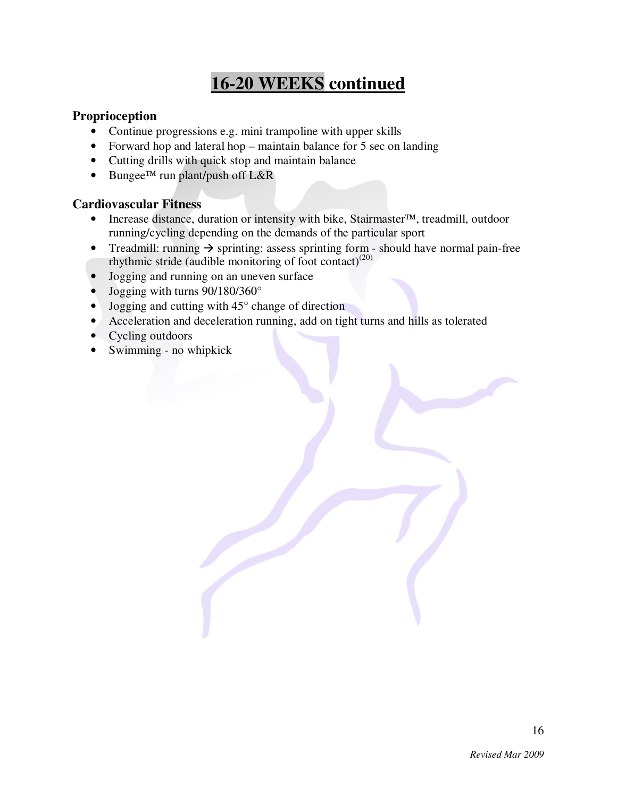# **16-20 WEEKS continued**

#### **Proprioception**

- Continue progressions e.g. mini trampoline with upper skills
- Forward hop and lateral hop maintain balance for 5 sec on landing
- Cutting drills with quick stop and maintain balance
- Bungee<sup>TM</sup> run plant/push off  $L&R$

#### **Cardiovascular Fitness**

- Increase distance, duration or intensity with bike, Stairmaster<sup>TM</sup>, treadmill, outdoor running/cycling depending on the demands of the particular sport
- Treadmill: running  $\rightarrow$  sprinting: assess sprinting form should have normal pain-free rhythmic stride (audible monitoring of foot contact)<sup>(20)</sup>
- Jogging and running on an uneven surface
- Jogging with turns 90/180/360°
- Jogging and cutting with  $45^\circ$  change of direction
- Acceleration and deceleration running, add on tight turns and hills as tolerated
- Cycling outdoors
- Swimming no whipkick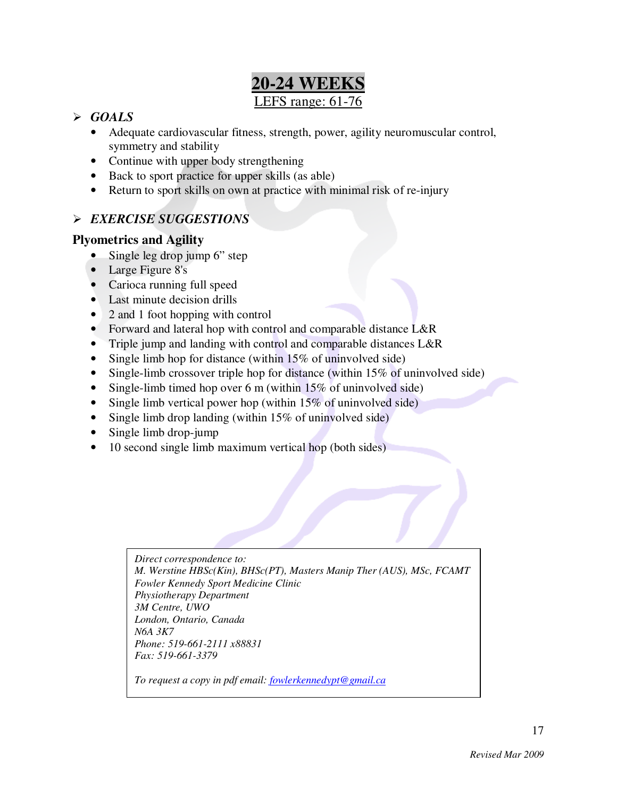# **20-24 WEEKS** LEFS range: 61-76

#### *GOALS*

- Adequate cardiovascular fitness, strength, power, agility neuromuscular control, symmetry and stability
- Continue with upper body strengthening
- Back to sport practice for upper skills (as able)
- Return to sport skills on own at practice with minimal risk of re-injury

# *EXERCISE SUGGESTIONS*

# **Plyometrics and Agility**

- Single leg drop jump 6" step
- Large Figure 8's
- Carioca running full speed
- Last minute decision drills
- 2 and 1 foot hopping with control
- Forward and lateral hop with control and comparable distance L&R
- Triple jump and landing with control and comparable distances L&R
- Single limb hop for distance (within 15% of uninvolved side)
- Single-limb crossover triple hop for distance (within 15% of uninvolved side)
- Single-limb timed hop over 6 m (within  $15\%$  of uninvolved side)
- Single limb vertical power hop (within  $15\%$  of uninvolved side)
- Single limb drop landing (within 15% of uninvolved side)
- Single limb drop-jump
- 10 second single limb maximum vertical hop (both sides)

*Direct correspondence to: M. Werstine HBSc(Kin), BHSc(PT), Masters Manip Ther (AUS), MSc, FCAMT Fowler Kennedy Sport Medicine Clinic Physiotherapy Department 3M Centre, UWO London, Ontario, Canada N6A 3K7 Phone: 519-661-2111 x88831 Fax: 519-661-3379* 

*To request a copy in pdf email: fowlerkennedypt@gmail.ca*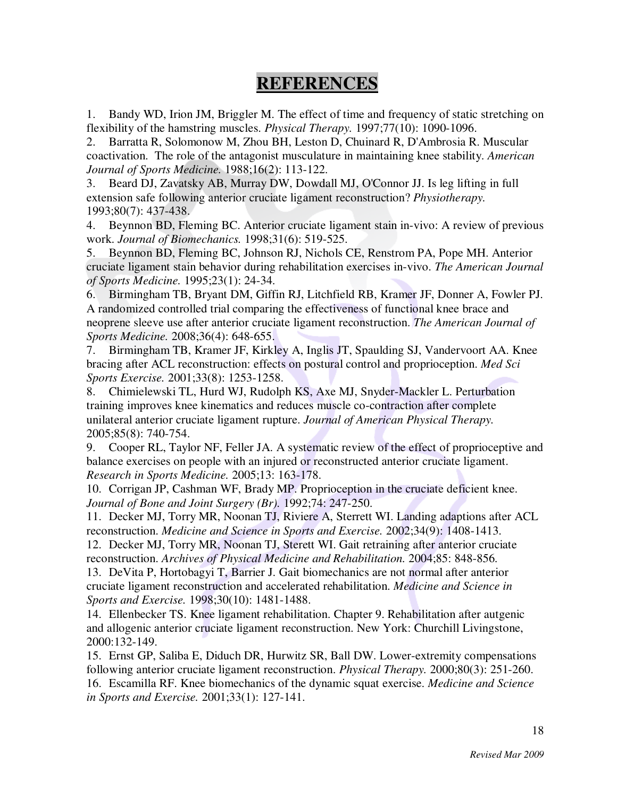# **REFERENCES**

1. Bandy WD, Irion JM, Briggler M. The effect of time and frequency of static stretching on flexibility of the hamstring muscles. *Physical Therapy.* 1997;77(10): 1090-1096.

2. Barratta R, Solomonow M, Zhou BH, Leston D, Chuinard R, D'Ambrosia R. Muscular coactivation. The role of the antagonist musculature in maintaining knee stability. *American Journal of Sports Medicine.* 1988;16(2): 113-122.

3. Beard DJ, Zavatsky AB, Murray DW, Dowdall MJ, O'Connor JJ. Is leg lifting in full extension safe following anterior cruciate ligament reconstruction? *Physiotherapy.* 1993;80(7): 437-438.

4. Beynnon BD, Fleming BC. Anterior cruciate ligament stain in-vivo: A review of previous work. *Journal of Biomechanics.* 1998;31(6): 519-525.

5. Beynnon BD, Fleming BC, Johnson RJ, Nichols CE, Renstrom PA, Pope MH. Anterior cruciate ligament stain behavior during rehabilitation exercises in-vivo. *The American Journal of Sports Medicine.* 1995;23(1): 24-34.

6. Birmingham TB, Bryant DM, Giffin RJ, Litchfield RB, Kramer JF, Donner A, Fowler PJ. A randomized controlled trial comparing the effectiveness of functional knee brace and neoprene sleeve use after anterior cruciate ligament reconstruction. *The American Journal of Sports Medicine.* 2008;36(4): 648-655.

7. Birmingham TB, Kramer JF, Kirkley A, Inglis JT, Spaulding SJ, Vandervoort AA. Knee bracing after ACL reconstruction: effects on postural control and proprioception. *Med Sci Sports Exercise.* 2001;33(8): 1253-1258.

8. Chimielewski TL, Hurd WJ, Rudolph KS, Axe MJ, Snyder-Mackler L. Perturbation training improves knee kinematics and reduces muscle co-contraction after complete unilateral anterior cruciate ligament rupture. *Journal of American Physical Therapy.* 2005;85(8): 740-754.

9. Cooper RL, Taylor NF, Feller JA. A systematic review of the effect of proprioceptive and balance exercises on people with an injured or reconstructed anterior cruciate ligament. *Research in Sports Medicine.* 2005;13: 163-178.

10. Corrigan JP, Cashman WF, Brady MP. Proprioception in the cruciate deficient knee. *Journal of Bone and Joint Surgery (Br).* 1992;74: 247-250.

11. Decker MJ, Torry MR, Noonan TJ, Riviere A, Sterrett WI. Landing adaptions after ACL reconstruction. *Medicine and Science in Sports and Exercise.* 2002;34(9): 1408-1413.

12. Decker MJ, Torry MR, Noonan TJ, Sterett WI. Gait retraining after anterior cruciate reconstruction. *Archives of Physical Medicine and Rehabilitation.* 2004;85: 848-856.

13. DeVita P, Hortobagyi T, Barrier J. Gait biomechanics are not normal after anterior cruciate ligament reconstruction and accelerated rehabilitation. *Medicine and Science in Sports and Exercise.* 1998;30(10): 1481-1488.

14. Ellenbecker TS. Knee ligament rehabilitation. Chapter 9. Rehabilitation after autgenic and allogenic anterior cruciate ligament reconstruction. New York: Churchill Livingstone, 2000:132-149.

15. Ernst GP, Saliba E, Diduch DR, Hurwitz SR, Ball DW. Lower-extremity compensations following anterior cruciate ligament reconstruction. *Physical Therapy.* 2000;80(3): 251-260. 16. Escamilla RF. Knee biomechanics of the dynamic squat exercise. *Medicine and Science in Sports and Exercise.* 2001;33(1): 127-141.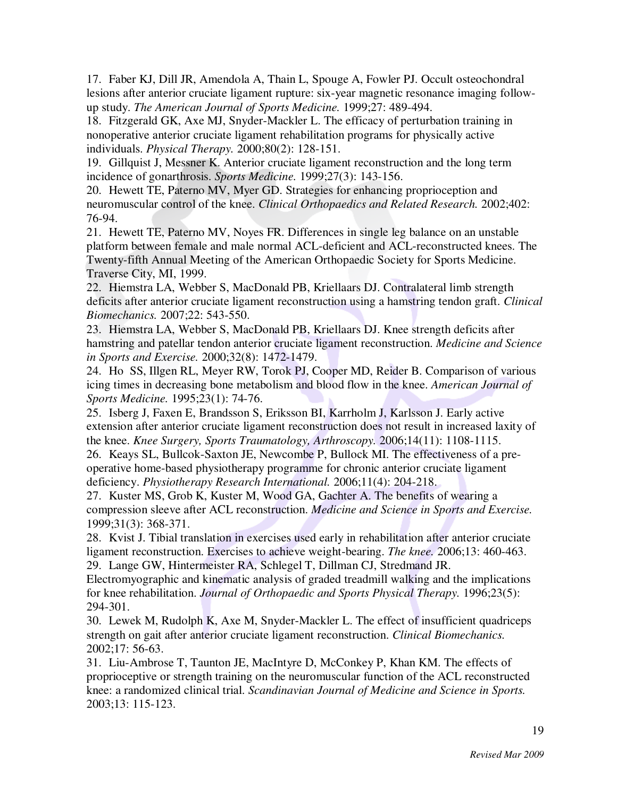17. Faber KJ, Dill JR, Amendola A, Thain L, Spouge A, Fowler PJ. Occult osteochondral lesions after anterior cruciate ligament rupture: six-year magnetic resonance imaging followup study. *The American Journal of Sports Medicine.* 1999;27: 489-494.

18. Fitzgerald GK, Axe MJ, Snyder-Mackler L. The efficacy of perturbation training in nonoperative anterior cruciate ligament rehabilitation programs for physically active individuals. *Physical Therapy.* 2000;80(2): 128-151.

19. Gillquist J, Messner K. Anterior cruciate ligament reconstruction and the long term incidence of gonarthrosis. *Sports Medicine.* 1999;27(3): 143-156.

20. Hewett TE, Paterno MV, Myer GD. Strategies for enhancing proprioception and neuromuscular control of the knee. *Clinical Orthopaedics and Related Research.* 2002;402: 76-94.

21. Hewett TE, Paterno MV, Noyes FR. Differences in single leg balance on an unstable platform between female and male normal ACL-deficient and ACL-reconstructed knees. The Twenty-fifth Annual Meeting of the American Orthopaedic Society for Sports Medicine. Traverse City, MI, 1999.

22. Hiemstra LA, Webber S, MacDonald PB, Kriellaars DJ. Contralateral limb strength deficits after anterior cruciate ligament reconstruction using a hamstring tendon graft. *Clinical Biomechanics.* 2007;22: 543-550.

23. Hiemstra LA, Webber S, MacDonald PB, Kriellaars DJ. Knee strength deficits after hamstring and patellar tendon anterior cruciate ligament reconstruction. *Medicine and Science in Sports and Exercise.* 2000;32(8): 1472-1479.

24. Ho SS, Illgen RL, Meyer RW, Torok PJ, Cooper MD, Reider B. Comparison of various icing times in decreasing bone metabolism and blood flow in the knee. *American Journal of Sports Medicine.* 1995;23(1): 74-76.

25. Isberg J, Faxen E, Brandsson S, Eriksson BI, Karrholm J, Karlsson J. Early active extension after anterior cruciate ligament reconstruction does not result in increased laxity of the knee. *Knee Surgery, Sports Traumatology, Arthroscopy.* 2006;14(11): 1108-1115.

26. Keays SL, Bullcok-Saxton JE, Newcombe P, Bullock MI. The effectiveness of a preoperative home-based physiotherapy programme for chronic anterior cruciate ligament deficiency. *Physiotherapy Research International.* 2006;11(4): 204-218.

27. Kuster MS, Grob K, Kuster M, Wood GA, Gachter A. The benefits of wearing a compression sleeve after ACL reconstruction. *Medicine and Science in Sports and Exercise.* 1999;31(3): 368-371.

28. Kvist J. Tibial translation in exercises used early in rehabilitation after anterior cruciate ligament reconstruction. Exercises to achieve weight-bearing. *The knee.* 2006;13: 460-463. 29. Lange GW, Hintermeister RA, Schlegel T, Dillman CJ, Stredmand JR.

Electromyographic and kinematic analysis of graded treadmill walking and the implications for knee rehabilitation. *Journal of Orthopaedic and Sports Physical Therapy.* 1996;23(5): 294-301.

30. Lewek M, Rudolph K, Axe M, Snyder-Mackler L. The effect of insufficient quadriceps strength on gait after anterior cruciate ligament reconstruction. *Clinical Biomechanics.* 2002;17: 56-63.

31. Liu-Ambrose T, Taunton JE, MacIntyre D, McConkey P, Khan KM. The effects of proprioceptive or strength training on the neuromuscular function of the ACL reconstructed knee: a randomized clinical trial. *Scandinavian Journal of Medicine and Science in Sports.* 2003;13: 115-123.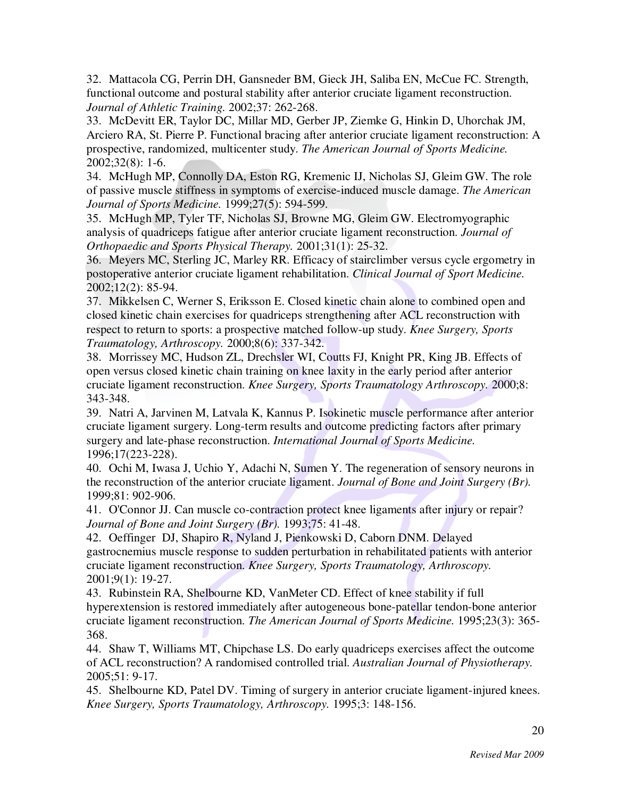32. Mattacola CG, Perrin DH, Gansneder BM, Gieck JH, Saliba EN, McCue FC. Strength, functional outcome and postural stability after anterior cruciate ligament reconstruction. *Journal of Athletic Training.* 2002;37: 262-268.

33. McDevitt ER, Taylor DC, Millar MD, Gerber JP, Ziemke G, Hinkin D, Uhorchak JM, Arciero RA, St. Pierre P. Functional bracing after anterior cruciate ligament reconstruction: A prospective, randomized, multicenter study. *The American Journal of Sports Medicine.* 2002;32(8): 1-6.

34. McHugh MP, Connolly DA, Eston RG, Kremenic IJ, Nicholas SJ, Gleim GW. The role of passive muscle stiffness in symptoms of exercise-induced muscle damage. *The American Journal of Sports Medicine.* 1999;27(5): 594-599.

35. McHugh MP, Tyler TF, Nicholas SJ, Browne MG, Gleim GW. Electromyographic analysis of quadriceps fatigue after anterior cruciate ligament reconstruction. *Journal of Orthopaedic and Sports Physical Therapy.* 2001;31(1): 25-32.

36. Meyers MC, Sterling JC, Marley RR. Efficacy of stairclimber versus cycle ergometry in postoperative anterior cruciate ligament rehabilitation. *Clinical Journal of Sport Medicine.* 2002;12(2): 85-94.

37. Mikkelsen C, Werner S, Eriksson E. Closed kinetic chain alone to combined open and closed kinetic chain exercises for quadriceps strengthening after ACL reconstruction with respect to return to sports: a prospective matched follow-up study. *Knee Surgery, Sports Traumatology, Arthroscopy.* 2000;8(6): 337-342.

38. Morrissey MC, Hudson ZL, Drechsler WI, Coutts FJ, Knight PR, King JB. Effects of open versus closed kinetic chain training on knee laxity in the early period after anterior cruciate ligament reconstruction. *Knee Surgery, Sports Traumatology Arthroscopy.* 2000;8: 343-348.

39. Natri A, Jarvinen M, Latvala K, Kannus P. Isokinetic muscle performance after anterior cruciate ligament surgery. Long-term results and outcome predicting factors after primary surgery and late-phase reconstruction. *International Journal of Sports Medicine.* 1996;17(223-228).

40. Ochi M, Iwasa J, Uchio Y, Adachi N, Sumen Y. The regeneration of sensory neurons in the reconstruction of the anterior cruciate ligament. *Journal of Bone and Joint Surgery (Br).* 1999;81: 902-906.

41. O'Connor JJ. Can muscle co-contraction protect knee ligaments after injury or repair? *Journal of Bone and Joint Surgery (Br).* 1993;75: 41-48.

42. Oeffinger DJ, Shapiro R, Nyland J, Pienkowski D, Caborn DNM. Delayed gastrocnemius muscle response to sudden perturbation in rehabilitated patients with anterior cruciate ligament reconstruction. *Knee Surgery, Sports Traumatology, Arthroscopy.* 2001;9(1): 19-27.

43. Rubinstein RA, Shelbourne KD, VanMeter CD. Effect of knee stability if full hyperextension is restored immediately after autogeneous bone-patellar tendon-bone anterior cruciate ligament reconstruction. *The American Journal of Sports Medicine.* 1995;23(3): 365- 368.

44. Shaw T, Williams MT, Chipchase LS. Do early quadriceps exercises affect the outcome of ACL reconstruction? A randomised controlled trial. *Australian Journal of Physiotherapy.* 2005;51: 9-17.

45. Shelbourne KD, Patel DV. Timing of surgery in anterior cruciate ligament-injured knees. *Knee Surgery, Sports Traumatology, Arthroscopy.* 1995;3: 148-156.